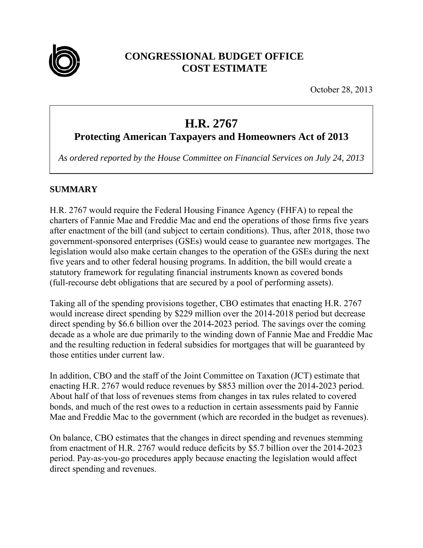

# **CONGRESSIONAL BUDGET OFFICE COST ESTIMATE**

October 28, 2013

# **H.R. 2767**

# **Protecting American Taxpayers and Homeowners Act of 2013**

*As ordered reported by the House Committee on Financial Services on July 24, 2013* 

### **SUMMARY**

H.R. 2767 would require the Federal Housing Finance Agency (FHFA) to repeal the charters of Fannie Mae and Freddie Mac and end the operations of those firms five years after enactment of the bill (and subject to certain conditions). Thus, after 2018, those two government-sponsored enterprises (GSEs) would cease to guarantee new mortgages. The legislation would also make certain changes to the operation of the GSEs during the next five years and to other federal housing programs. In addition, the bill would create a statutory framework for regulating financial instruments known as covered bonds (full-recourse debt obligations that are secured by a pool of performing assets).

Taking all of the spending provisions together, CBO estimates that enacting H.R. 2767 would increase direct spending by \$229 million over the 2014-2018 period but decrease direct spending by \$6.6 billion over the 2014-2023 period. The savings over the coming decade as a whole are due primarily to the winding down of Fannie Mae and Freddie Mac and the resulting reduction in federal subsidies for mortgages that will be guaranteed by those entities under current law.

In addition, CBO and the staff of the Joint Committee on Taxation (JCT) estimate that enacting H.R. 2767 would reduce revenues by \$853 million over the 2014-2023 period. About half of that loss of revenues stems from changes in tax rules related to covered bonds, and much of the rest owes to a reduction in certain assessments paid by Fannie Mae and Freddie Mac to the government (which are recorded in the budget as revenues).

On balance, CBO estimates that the changes in direct spending and revenues stemming from enactment of H.R. 2767 would reduce deficits by \$5.7 billion over the 2014-2023 period. Pay-as-you-go procedures apply because enacting the legislation would affect direct spending and revenues.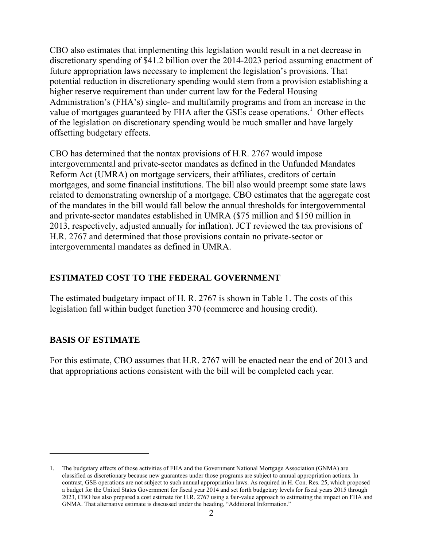CBO also estimates that implementing this legislation would result in a net decrease in discretionary spending of \$41.2 billion over the 2014-2023 period assuming enactment of future appropriation laws necessary to implement the legislation's provisions. That potential reduction in discretionary spending would stem from a provision establishing a higher reserve requirement than under current law for the Federal Housing Administration's (FHA's) single- and multifamily programs and from an increase in the value of mortgages guaranteed by FHA after the GSEs cease operations.<sup>1</sup> Other effects of the legislation on discretionary spending would be much smaller and have largely offsetting budgetary effects.

CBO has determined that the nontax provisions of H.R. 2767 would impose intergovernmental and private-sector mandates as defined in the Unfunded Mandates Reform Act (UMRA) on mortgage servicers, their affiliates, creditors of certain mortgages, and some financial institutions. The bill also would preempt some state laws related to demonstrating ownership of a mortgage. CBO estimates that the aggregate cost of the mandates in the bill would fall below the annual thresholds for intergovernmental and private-sector mandates established in UMRA (\$75 million and \$150 million in 2013, respectively, adjusted annually for inflation). JCT reviewed the tax provisions of H.R. 2767 and determined that those provisions contain no private-sector or intergovernmental mandates as defined in UMRA.

### **ESTIMATED COST TO THE FEDERAL GOVERNMENT**

The estimated budgetary impact of H. R. 2767 is shown in Table 1. The costs of this legislation fall within budget function 370 (commerce and housing credit).

## **BASIS OF ESTIMATE**

 $\overline{a}$ 

For this estimate, CBO assumes that H.R. 2767 will be enacted near the end of 2013 and that appropriations actions consistent with the bill will be completed each year.

<sup>1.</sup> The budgetary effects of those activities of FHA and the Government National Mortgage Association (GNMA) are classified as discretionary because new guarantees under those programs are subject to annual appropriation actions. In contrast, GSE operations are not subject to such annual appropriation laws. As required in H. Con. Res. 25, which proposed a budget for the United States Government for fiscal year 2014 and set forth budgetary levels for fiscal years 2015 through 2023, CBO has also prepared a cost estimate for H.R. 2767 using a fair-value approach to estimating the impact on FHA and GNMA. That alternative estimate is discussed under the heading, "Additional Information."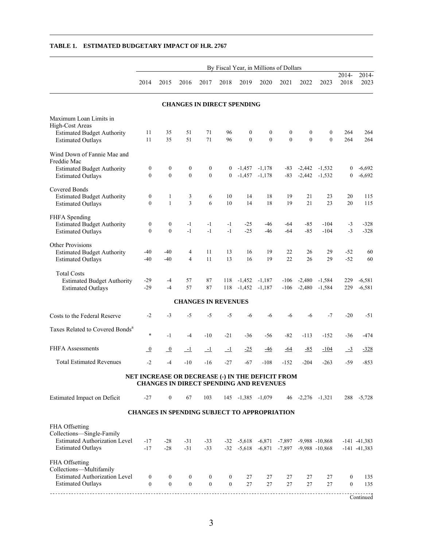|                                                                                                                 | By Fiscal Year, in Millions of Dollars |                                                                                                    |                                    |                                |                                  |                               |                              |                              |                                  |                                                                                    |                                    |                                    |
|-----------------------------------------------------------------------------------------------------------------|----------------------------------------|----------------------------------------------------------------------------------------------------|------------------------------------|--------------------------------|----------------------------------|-------------------------------|------------------------------|------------------------------|----------------------------------|------------------------------------------------------------------------------------|------------------------------------|------------------------------------|
|                                                                                                                 | 2014                                   | 2015                                                                                               | 2016                               | 2017                           | 2018                             | 2019                          | 2020                         | 2021                         | 2022                             | 2023                                                                               | 2014-<br>2018                      | 2014-<br>2023                      |
|                                                                                                                 |                                        |                                                                                                    | <b>CHANGES IN DIRECT SPENDING</b>  |                                |                                  |                               |                              |                              |                                  |                                                                                    |                                    |                                    |
| Maximum Loan Limits in<br>High-Cost Areas<br><b>Estimated Budget Authority</b><br><b>Estimated Outlays</b>      | 11<br>11                               | 35<br>35                                                                                           | 51<br>51                           | 71<br>71                       | 96<br>96                         | $\boldsymbol{0}$<br>$\theta$  | $\boldsymbol{0}$<br>$\theta$ | $\boldsymbol{0}$<br>$\theta$ | $\boldsymbol{0}$<br>$\theta$     | $\boldsymbol{0}$<br>$\theta$                                                       | 264<br>264                         | 264<br>264                         |
| Wind Down of Fannie Mae and<br>Freddie Mac<br><b>Estimated Budget Authority</b><br><b>Estimated Outlays</b>     | $\boldsymbol{0}$<br>$\overline{0}$     | $\boldsymbol{0}$<br>$\overline{0}$                                                                 | $\boldsymbol{0}$<br>$\mathbf{0}$   | 0<br>$\overline{0}$            | $\overline{0}$<br>$\overline{0}$ | $-1,457$ $-1,178$<br>$-1,457$ | $-1,178$                     | $-83$                        |                                  | $-83$ $-2,442$ $-1,532$<br>$-2,442$ $-1,532$                                       | 0<br>$\mathbf{0}$                  | $-6,692$<br>$-6,692$               |
| Covered Bonds<br><b>Estimated Budget Authority</b><br><b>Estimated Outlays</b>                                  | $\boldsymbol{0}$<br>$\mathbf{0}$       | 1<br>$\mathbf{1}$                                                                                  | 3<br>$\overline{3}$                | 6<br>6                         | 10<br>10                         | 14<br>14                      | 18<br>18                     | 19<br>19                     | 21<br>21                         | 23<br>23                                                                           | 20<br>20                           | 115<br>115                         |
| FHFA Spending<br><b>Estimated Budget Authority</b><br><b>Estimated Outlays</b>                                  | $\boldsymbol{0}$<br>$\mathbf{0}$       | $\bf{0}$<br>$\theta$                                                                               | $-1$<br>$-1$                       | $-1$<br>$-1$                   | $-1$<br>$-1$                     | $-25$<br>$-25$                | -46<br>$-46$                 | -64<br>$-64$                 | $-85$<br>$-85$                   | $-104$<br>$-104$                                                                   | $-3$<br>$-3$                       | $-328$<br>$-328$                   |
| <b>Other Provisions</b><br><b>Estimated Budget Authority</b><br><b>Estimated Outlays</b>                        | -40<br>$-40$                           | $-40$<br>$-40$                                                                                     | 4<br>$\overline{4}$                | 11<br>11                       | 13<br>13                         | 16<br>16                      | 19<br>19                     | 22<br>22                     | 26<br>26                         | 29<br>29                                                                           | $-52$<br>$-52$                     | 60<br>60                           |
| <b>Total Costs</b><br><b>Estimated Budget Authority</b><br><b>Estimated Outlays</b>                             | $-29$<br>$-29$                         | $-4$<br>$-4$                                                                                       | 57<br>57                           | 87<br>87                       | 118<br>118                       | $-1,452$<br>$-1,452$          | $-1,187$<br>$-1,187$         |                              | $-106 - 2,480$<br>$-106 - 2,480$ | $-1,584$<br>$-1,584$                                                               | 229<br>229                         | $-6,581$<br>$-6,581$               |
|                                                                                                                 |                                        |                                                                                                    | <b>CHANGES IN REVENUES</b>         |                                |                                  |                               |                              |                              |                                  |                                                                                    |                                    |                                    |
| Costs to the Federal Reserve                                                                                    | $-2$                                   | $-3$                                                                                               | $-5$                               | $-5$                           | $-5$                             | $-6$                          | -6                           | -6                           | $-6$                             | $-7$                                                                               | $-20$                              | $-51$                              |
| Taxes Related to Covered Bonds <sup>a</sup>                                                                     | $\ast$                                 | $-1$                                                                                               | $-4$                               | $-10$                          | $-21$                            | $-36$                         | -56                          | $-82$                        | $-113$                           | $-152$                                                                             | -36                                | $-474$                             |
| <b>FHFA Assessments</b>                                                                                         | $\overline{0}$                         | $\overline{0}$                                                                                     | $-1$                               | $\overline{-1}$                | $-1$                             | $-25$                         | <u>-46</u>                   | <u>-64</u>                   | $-85$                            | $-104$                                                                             | $-3$                               | $-328$                             |
| <b>Total Estimated Revenues</b>                                                                                 | $-2$                                   | $-4$                                                                                               | $-10$                              | $-16$                          | $-27$                            | $-67$                         | $-108$                       | $-152$                       | $-204$                           | $-263$                                                                             | -59                                | $-853$                             |
|                                                                                                                 |                                        | NET INCREASE OR DECREASE (-) IN THE DEFICIT FROM<br><b>CHANGES IN DIRECT SPENDING AND REVENUES</b> |                                    |                                |                                  |                               |                              |                              |                                  |                                                                                    |                                    |                                    |
| <b>Estimated Impact on Deficit</b>                                                                              | $-27$                                  | $\mathbf{0}$                                                                                       | 67                                 | 103                            |                                  | 145 -1,385 -1,079             |                              |                              |                                  | $46 - 2,276 - 1,321$                                                               |                                    | 288 -5,728                         |
|                                                                                                                 |                                        | <b>CHANGES IN SPENDING SUBJECT TO APPROPRIATION</b>                                                |                                    |                                |                                  |                               |                              |                              |                                  |                                                                                    |                                    |                                    |
| FHA Offsetting<br>Collections-Single-Family<br><b>Estimated Authorization Level</b><br><b>Estimated Outlays</b> | $-17$<br>$-17$                         | $-28$<br>$-28$                                                                                     | $-31$<br>$-31$                     | $-33$<br>$-33$                 |                                  |                               | $-32$ $-5,618$ $-6,871$      |                              |                                  | $-32$ $-5,618$ $-6,871$ $-7,897$ $-9,988$ $-10,868$<br>$-7,897$ $-9,988$ $-10,868$ |                                    | $-141 - 41,383$<br>$-141 - 41,383$ |
| FHA Offsetting<br>Collections-Multifamily<br><b>Estimated Authorization Level</b><br><b>Estimated Outlays</b>   | $\boldsymbol{0}$<br>$\mathbf{0}$       | $\mathbf{0}$<br>$\overline{0}$                                                                     | $\boldsymbol{0}$<br>$\overline{0}$ | $\mathbf{0}$<br>$\overline{0}$ | $\bf{0}$<br>$\mathbf{0}$         | 27<br>27                      | 27<br>27                     | 27<br>27                     | 27<br>27                         | 27<br>27                                                                           | $\boldsymbol{0}$<br>$\overline{0}$ | 135<br>135                         |
|                                                                                                                 |                                        |                                                                                                    |                                    |                                |                                  |                               |                              |                              |                                  |                                                                                    |                                    | Continued                          |

#### **TABLE 1. ESTIMATED BUDGETARY IMPACT OF H.R. 2767**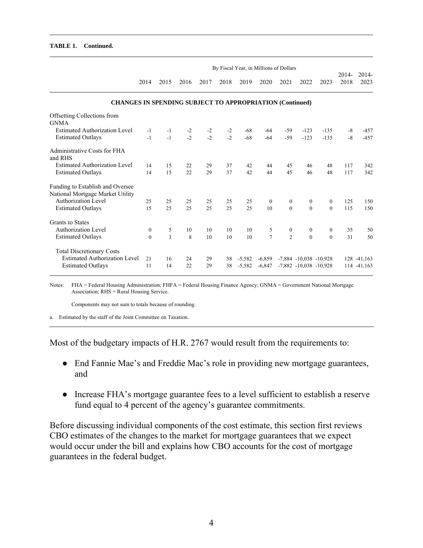#### **TABLE 1. Continued.**

|                                                                      | By Fiscal Year, in Millions of Dollars |      |      |      |      |          |                |                  |                              |                |               |                  |
|----------------------------------------------------------------------|----------------------------------------|------|------|------|------|----------|----------------|------------------|------------------------------|----------------|---------------|------------------|
|                                                                      | 2014                                   | 2015 | 2016 | 2017 | 2018 | 2019     | 2020           | 2021             | 2022                         | 2023           | 2014-<br>2018 | $2014 -$<br>2023 |
| <b>CHANGES IN SPENDING SUBJECT TO APPROPRIATION (Continued)</b>      |                                        |      |      |      |      |          |                |                  |                              |                |               |                  |
| Offsetting Collections from<br><b>GNMA</b>                           |                                        |      |      |      |      |          |                |                  |                              |                |               |                  |
| <b>Estimated Authorization Level</b>                                 | $-1$                                   | $-1$ | $-2$ | $-2$ | $-2$ | $-68$    | $-64$          | $-59$            | $-123$                       | $-135$         | $-8$          | $-457$           |
| <b>Estimated Outlays</b>                                             | $-1$                                   | $-1$ | $-2$ | $-2$ | $-2$ | $-68$    | $-64$          | $-59$            | $-123$                       | $-135$         | $-8$          | $-457$           |
| Administrative Costs for FHA<br>and RHS                              |                                        |      |      |      |      |          |                |                  |                              |                |               |                  |
| Estimated Authorization Level                                        | 14                                     | 15   | 22   | 29   | 37   | 42       | 44             | 45               | 46                           | 48             | 117           | 342              |
| <b>Estimated Outlays</b>                                             | 14                                     | 15   | 22   | 29   | 37   | 42       | 44             | 45               | 46                           | 48             | 117           | 342              |
| Funding to Establish and Oversee<br>National Mortgage Market Utility |                                        |      |      |      |      |          |                |                  |                              |                |               |                  |
| Authorization Level                                                  | 25                                     | 25   | 25   | 25   | 25   | 25       | $\overline{0}$ | $\boldsymbol{0}$ | $\boldsymbol{0}$             | $\overline{0}$ | 125           | 150              |
| <b>Estimated Outlays</b>                                             | 15                                     | 25   | 25   | 25   | 25   | 25       | 10             | $\theta$         | $\theta$                     | $\theta$       | 115           | 150              |
| <b>Grants to States</b>                                              |                                        |      |      |      |      |          |                |                  |                              |                |               |                  |
| <b>Authorization Level</b>                                           | $\mathbf{0}$                           | 5    | 10   | 10   | 10   | 10       | 5              | $\boldsymbol{0}$ | $\boldsymbol{0}$             | $\mathbf{0}$   | 35            | 50               |
| <b>Estimated Outlays</b>                                             | $\theta$                               | 3    | 8    | 10   | 10   | 10       | $\overline{7}$ | $\mathfrak{D}$   | $\theta$                     | $\Omega$       | 31            | 50               |
| <b>Total Discretionary Costs</b>                                     |                                        |      |      |      |      |          |                |                  |                              |                |               |                  |
| <b>Estimated Authorization Level</b>                                 | 21                                     | 16   | 24   | 29   | 38   | $-5,582$ | $-6,859$       |                  | $-7,884$ $-10,038$ $-10,928$ |                |               | 128 -41,163      |
| <b>Estimated Outlays</b>                                             | 11                                     | 14   | 22   | 29   | 38   | $-5,582$ | $-6,847$       |                  | $-7,882$ $-10,038$ $-10,928$ |                |               | 114 -41,163      |

Notes: FHA = Federal Housing Administration; FHFA = Federal Housing Finance Agency; GNMA = Government National Mortgage Association; RHS = Rural Housing Service.

Components may not sum to totals because of rounding.

a. Estimated by the staff of the Joint Committee on Taxation.

Most of the budgetary impacts of H.R. 2767 would result from the requirements to:

- End Fannie Mae's and Freddie Mac's role in providing new mortgage guarantees, and
- Increase FHA's mortgage guarantee fees to a level sufficient to establish a reserve fund equal to 4 percent of the agency's guarantee commitments.

Before discussing individual components of the cost estimate, this section first reviews CBO estimates of the changes to the market for mortgage guarantees that we expect would occur under the bill and explains how CBO accounts for the cost of mortgage guarantees in the federal budget.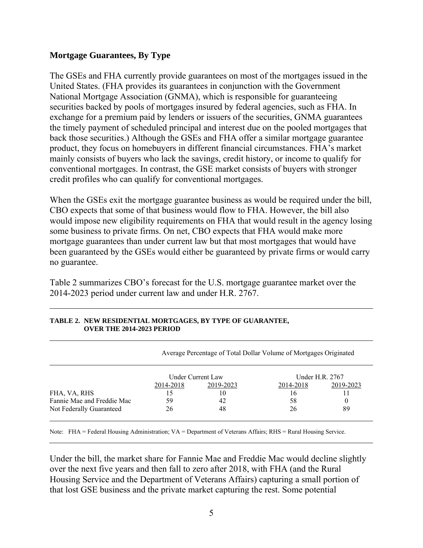#### **Mortgage Guarantees, By Type**

The GSEs and FHA currently provide guarantees on most of the mortgages issued in the United States. (FHA provides its guarantees in conjunction with the Government National Mortgage Association (GNMA), which is responsible for guaranteeing securities backed by pools of mortgages insured by federal agencies, such as FHA. In exchange for a premium paid by lenders or issuers of the securities, GNMA guarantees the timely payment of scheduled principal and interest due on the pooled mortgages that back those securities.) Although the GSEs and FHA offer a similar mortgage guarantee product, they focus on homebuyers in different financial circumstances. FHA's market mainly consists of buyers who lack the savings, credit history, or income to qualify for conventional mortgages. In contrast, the GSE market consists of buyers with stronger credit profiles who can qualify for conventional mortgages.

When the GSEs exit the mortgage guarantee business as would be required under the bill, CBO expects that some of that business would flow to FHA. However, the bill also would impose new eligibility requirements on FHA that would result in the agency losing some business to private firms. On net, CBO expects that FHA would make more mortgage guarantees than under current law but that most mortgages that would have been guaranteed by the GSEs would either be guaranteed by private firms or would carry no guarantee.

Table 2 summarizes CBO's forecast for the U.S. mortgage guarantee market over the 2014-2023 period under current law and under H.R. 2767.

|                            |           |                   | Average Percentage of Total Dollar Volume of Mortgages Originated |                 |
|----------------------------|-----------|-------------------|-------------------------------------------------------------------|-----------------|
|                            |           | Under Current Law |                                                                   | Under H.R. 2767 |
|                            | 2014-2018 | 2019-2023         | 2014-2018                                                         | 2019-2023       |
| FHA, VA, RHS               | 15        | 10                | 16                                                                |                 |
| Fannie Mae and Freddie Mac | 59        | 42                | 58                                                                |                 |
| Not Federally Guaranteed   | 26        | 48                | 26                                                                | 89              |

#### **TABLE 2. NEW RESIDENTIAL MORTGAGES, BY TYPE OF GUARANTEE, OVER THE 2014-2023 PERIOD**

Note: FHA = Federal Housing Administration; VA = Department of Veterans Affairs; RHS = Rural Housing Service.

Under the bill, the market share for Fannie Mae and Freddie Mac would decline slightly over the next five years and then fall to zero after 2018, with FHA (and the Rural Housing Service and the Department of Veterans Affairs) capturing a small portion of that lost GSE business and the private market capturing the rest. Some potential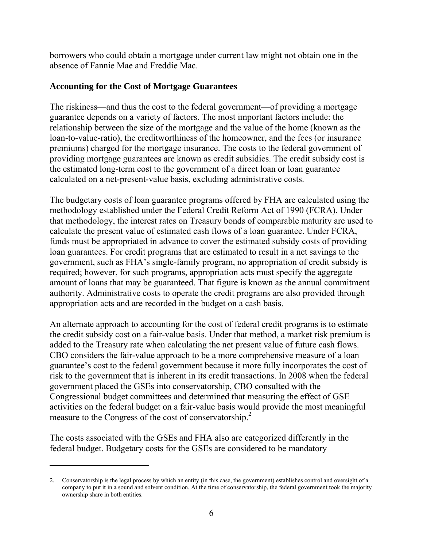borrowers who could obtain a mortgage under current law might not obtain one in the absence of Fannie Mae and Freddie Mac.

#### **Accounting for the Cost of Mortgage Guarantees**

The riskiness—and thus the cost to the federal government—of providing a mortgage guarantee depends on a variety of factors. The most important factors include: the relationship between the size of the mortgage and the value of the home (known as the loan-to-value-ratio), the creditworthiness of the homeowner, and the fees (or insurance premiums) charged for the mortgage insurance. The costs to the federal government of providing mortgage guarantees are known as credit subsidies. The credit subsidy cost is the estimated long-term cost to the government of a direct loan or loan guarantee calculated on a net-present-value basis, excluding administrative costs.

The budgetary costs of loan guarantee programs offered by FHA are calculated using the methodology established under the Federal Credit Reform Act of 1990 (FCRA). Under that methodology, the interest rates on Treasury bonds of comparable maturity are used to calculate the present value of estimated cash flows of a loan guarantee. Under FCRA, funds must be appropriated in advance to cover the estimated subsidy costs of providing loan guarantees. For credit programs that are estimated to result in a net savings to the government, such as FHA's single-family program, no appropriation of credit subsidy is required; however, for such programs, appropriation acts must specify the aggregate amount of loans that may be guaranteed. That figure is known as the annual commitment authority. Administrative costs to operate the credit programs are also provided through appropriation acts and are recorded in the budget on a cash basis.

An alternate approach to accounting for the cost of federal credit programs is to estimate the credit subsidy cost on a fair-value basis. Under that method, a market risk premium is added to the Treasury rate when calculating the net present value of future cash flows. CBO considers the fair-value approach to be a more comprehensive measure of a loan guarantee's cost to the federal government because it more fully incorporates the cost of risk to the government that is inherent in its credit transactions. In 2008 when the federal government placed the GSEs into conservatorship, CBO consulted with the Congressional budget committees and determined that measuring the effect of GSE activities on the federal budget on a fair-value basis would provide the most meaningful measure to the Congress of the cost of conservatorship.<sup>2</sup>

The costs associated with the GSEs and FHA also are categorized differently in the federal budget. Budgetary costs for the GSEs are considered to be mandatory

 $\overline{a}$ 

<sup>2.</sup> Conservatorship is the legal process by which an entity (in this case, the government) establishes control and oversight of a company to put it in a sound and solvent condition. At the time of conservatorship, the federal government took the majority ownership share in both entities.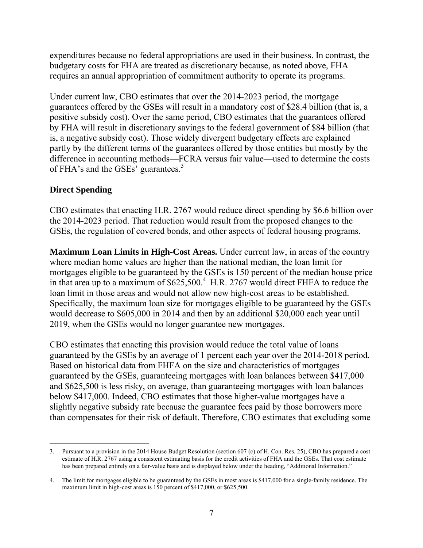expenditures because no federal appropriations are used in their business. In contrast, the budgetary costs for FHA are treated as discretionary because, as noted above, FHA requires an annual appropriation of commitment authority to operate its programs.

Under current law, CBO estimates that over the 2014-2023 period, the mortgage guarantees offered by the GSEs will result in a mandatory cost of \$28.4 billion (that is, a positive subsidy cost). Over the same period, CBO estimates that the guarantees offered by FHA will result in discretionary savings to the federal government of \$84 billion (that is, a negative subsidy cost). Those widely divergent budgetary effects are explained partly by the different terms of the guarantees offered by those entities but mostly by the difference in accounting methods—FCRA versus fair value—used to determine the costs of FHA's and the GSEs' guarantees.<sup>3</sup>

#### **Direct Spending**

CBO estimates that enacting H.R. 2767 would reduce direct spending by \$6.6 billion over the 2014-2023 period. That reduction would result from the proposed changes to the GSEs, the regulation of covered bonds, and other aspects of federal housing programs.

**Maximum Loan Limits in High-Cost Areas.** Under current law, in areas of the country where median home values are higher than the national median, the loan limit for mortgages eligible to be guaranteed by the GSEs is 150 percent of the median house price in that area up to a maximum of \$625,500.<sup>4</sup> H.R. 2767 would direct FHFA to reduce the loan limit in those areas and would not allow new high-cost areas to be established. Specifically, the maximum loan size for mortgages eligible to be guaranteed by the GSEs would decrease to \$605,000 in 2014 and then by an additional \$20,000 each year until 2019, when the GSEs would no longer guarantee new mortgages.

CBO estimates that enacting this provision would reduce the total value of loans guaranteed by the GSEs by an average of 1 percent each year over the 2014-2018 period. Based on historical data from FHFA on the size and characteristics of mortgages guaranteed by the GSEs, guaranteeing mortgages with loan balances between \$417,000 and \$625,500 is less risky, on average, than guaranteeing mortgages with loan balances below \$417,000. Indeed, CBO estimates that those higher-value mortgages have a slightly negative subsidy rate because the guarantee fees paid by those borrowers more than compensates for their risk of default. Therefore, CBO estimates that excluding some

 $\overline{a}$ 3. Pursuant to a provision in the 2014 House Budget Resolution (section 607 (c) of H. Con. Res. 25), CBO has prepared a cost estimate of H.R. 2767 using a consistent estimating basis for the credit activities of FHA and the GSEs. That cost estimate has been prepared entirely on a fair-value basis and is displayed below under the heading, "Additional Information."

<sup>4.</sup> The limit for mortgages eligible to be guaranteed by the GSEs in most areas is \$417,000 for a single-family residence. The maximum limit in high-cost areas is 150 percent of \$417,000, or \$625,500.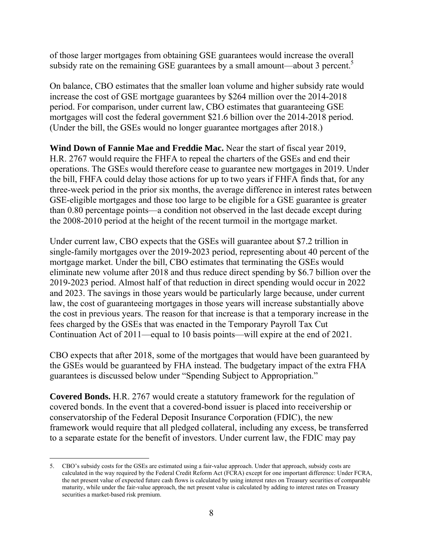of those larger mortgages from obtaining GSE guarantees would increase the overall subsidy rate on the remaining GSE guarantees by a small amount—about 3 percent.<sup>5</sup>

On balance, CBO estimates that the smaller loan volume and higher subsidy rate would increase the cost of GSE mortgage guarantees by \$264 million over the 2014-2018 period. For comparison, under current law, CBO estimates that guaranteeing GSE mortgages will cost the federal government \$21.6 billion over the 2014-2018 period. (Under the bill, the GSEs would no longer guarantee mortgages after 2018.)

**Wind Down of Fannie Mae and Freddie Mac.** Near the start of fiscal year 2019, H.R. 2767 would require the FHFA to repeal the charters of the GSEs and end their operations. The GSEs would therefore cease to guarantee new mortgages in 2019. Under the bill, FHFA could delay those actions for up to two years if FHFA finds that, for any three-week period in the prior six months, the average difference in interest rates between GSE-eligible mortgages and those too large to be eligible for a GSE guarantee is greater than 0.80 percentage points—a condition not observed in the last decade except during the 2008-2010 period at the height of the recent turmoil in the mortgage market.

Under current law, CBO expects that the GSEs will guarantee about \$7.2 trillion in single-family mortgages over the 2019-2023 period, representing about 40 percent of the mortgage market. Under the bill, CBO estimates that terminating the GSEs would eliminate new volume after 2018 and thus reduce direct spending by \$6.7 billion over the 2019-2023 period. Almost half of that reduction in direct spending would occur in 2022 and 2023. The savings in those years would be particularly large because, under current law, the cost of guaranteeing mortgages in those years will increase substantially above the cost in previous years. The reason for that increase is that a temporary increase in the fees charged by the GSEs that was enacted in the Temporary Payroll Tax Cut Continuation Act of 2011—equal to 10 basis points—will expire at the end of 2021.

CBO expects that after 2018, some of the mortgages that would have been guaranteed by the GSEs would be guaranteed by FHA instead. The budgetary impact of the extra FHA guarantees is discussed below under "Spending Subject to Appropriation."

**Covered Bonds.** H.R. 2767 would create a statutory framework for the regulation of covered bonds. In the event that a covered-bond issuer is placed into receivership or conservatorship of the Federal Deposit Insurance Corporation (FDIC), the new framework would require that all pledged collateral, including any excess, be transferred to a separate estate for the benefit of investors. Under current law, the FDIC may pay

 $\overline{a}$ 

<sup>5.</sup> CBO's subsidy costs for the GSEs are estimated using a fair-value approach. Under that approach, subsidy costs are calculated in the way required by the Federal Credit Reform Act (FCRA) except for one important difference: Under FCRA, the net present value of expected future cash flows is calculated by using interest rates on Treasury securities of comparable maturity, while under the fair-value approach, the net present value is calculated by adding to interest rates on Treasury securities a market-based risk premium.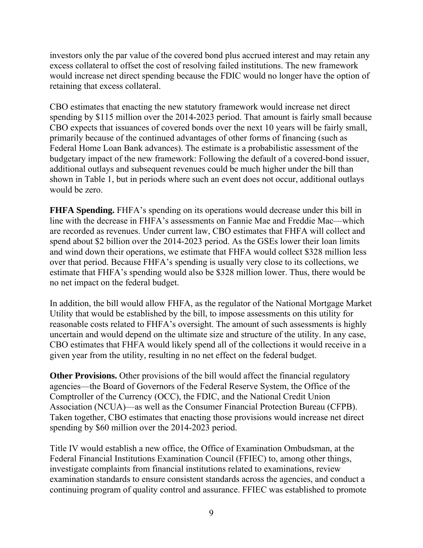investors only the par value of the covered bond plus accrued interest and may retain any excess collateral to offset the cost of resolving failed institutions. The new framework would increase net direct spending because the FDIC would no longer have the option of retaining that excess collateral.

CBO estimates that enacting the new statutory framework would increase net direct spending by \$115 million over the 2014-2023 period. That amount is fairly small because CBO expects that issuances of covered bonds over the next 10 years will be fairly small, primarily because of the continued advantages of other forms of financing (such as Federal Home Loan Bank advances). The estimate is a probabilistic assessment of the budgetary impact of the new framework: Following the default of a covered-bond issuer, additional outlays and subsequent revenues could be much higher under the bill than shown in Table 1, but in periods where such an event does not occur, additional outlays would be zero.

**FHFA Spending.** FHFA's spending on its operations would decrease under this bill in line with the decrease in FHFA's assessments on Fannie Mae and Freddie Mac—which are recorded as revenues. Under current law, CBO estimates that FHFA will collect and spend about \$2 billion over the 2014-2023 period. As the GSEs lower their loan limits and wind down their operations, we estimate that FHFA would collect \$328 million less over that period. Because FHFA's spending is usually very close to its collections, we estimate that FHFA's spending would also be \$328 million lower. Thus, there would be no net impact on the federal budget.

In addition, the bill would allow FHFA, as the regulator of the National Mortgage Market Utility that would be established by the bill, to impose assessments on this utility for reasonable costs related to FHFA's oversight. The amount of such assessments is highly uncertain and would depend on the ultimate size and structure of the utility. In any case, CBO estimates that FHFA would likely spend all of the collections it would receive in a given year from the utility, resulting in no net effect on the federal budget.

**Other Provisions.** Other provisions of the bill would affect the financial regulatory agencies—the Board of Governors of the Federal Reserve System, the Office of the Comptroller of the Currency (OCC), the FDIC, and the National Credit Union Association (NCUA)—as well as the Consumer Financial Protection Bureau (CFPB). Taken together, CBO estimates that enacting those provisions would increase net direct spending by \$60 million over the 2014-2023 period.

Title IV would establish a new office, the Office of Examination Ombudsman, at the Federal Financial Institutions Examination Council (FFIEC) to, among other things, investigate complaints from financial institutions related to examinations, review examination standards to ensure consistent standards across the agencies, and conduct a continuing program of quality control and assurance. FFIEC was established to promote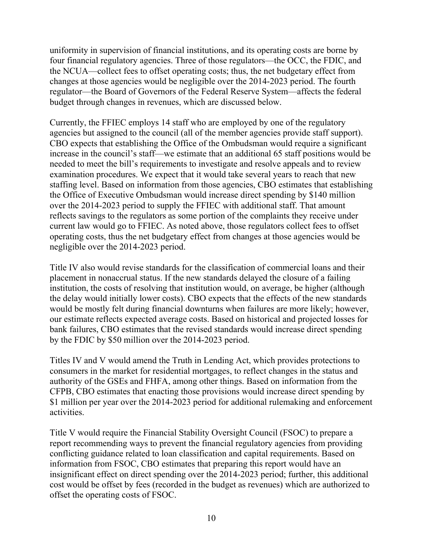uniformity in supervision of financial institutions, and its operating costs are borne by four financial regulatory agencies. Three of those regulators—the OCC, the FDIC, and the NCUA—collect fees to offset operating costs; thus, the net budgetary effect from changes at those agencies would be negligible over the 2014-2023 period. The fourth regulator—the Board of Governors of the Federal Reserve System—affects the federal budget through changes in revenues, which are discussed below.

Currently, the FFIEC employs 14 staff who are employed by one of the regulatory agencies but assigned to the council (all of the member agencies provide staff support). CBO expects that establishing the Office of the Ombudsman would require a significant increase in the council's staff—we estimate that an additional 65 staff positions would be needed to meet the bill's requirements to investigate and resolve appeals and to review examination procedures. We expect that it would take several years to reach that new staffing level. Based on information from those agencies, CBO estimates that establishing the Office of Executive Ombudsman would increase direct spending by \$140 million over the 2014-2023 period to supply the FFIEC with additional staff. That amount reflects savings to the regulators as some portion of the complaints they receive under current law would go to FFIEC. As noted above, those regulators collect fees to offset operating costs, thus the net budgetary effect from changes at those agencies would be negligible over the 2014-2023 period.

Title IV also would revise standards for the classification of commercial loans and their placement in nonaccrual status. If the new standards delayed the closure of a failing institution, the costs of resolving that institution would, on average, be higher (although the delay would initially lower costs). CBO expects that the effects of the new standards would be mostly felt during financial downturns when failures are more likely; however, our estimate reflects expected average costs. Based on historical and projected losses for bank failures, CBO estimates that the revised standards would increase direct spending by the FDIC by \$50 million over the 2014-2023 period.

Titles IV and V would amend the Truth in Lending Act, which provides protections to consumers in the market for residential mortgages, to reflect changes in the status and authority of the GSEs and FHFA, among other things. Based on information from the CFPB, CBO estimates that enacting those provisions would increase direct spending by \$1 million per year over the 2014-2023 period for additional rulemaking and enforcement activities.

Title V would require the Financial Stability Oversight Council (FSOC) to prepare a report recommending ways to prevent the financial regulatory agencies from providing conflicting guidance related to loan classification and capital requirements. Based on information from FSOC, CBO estimates that preparing this report would have an insignificant effect on direct spending over the 2014-2023 period; further, this additional cost would be offset by fees (recorded in the budget as revenues) which are authorized to offset the operating costs of FSOC.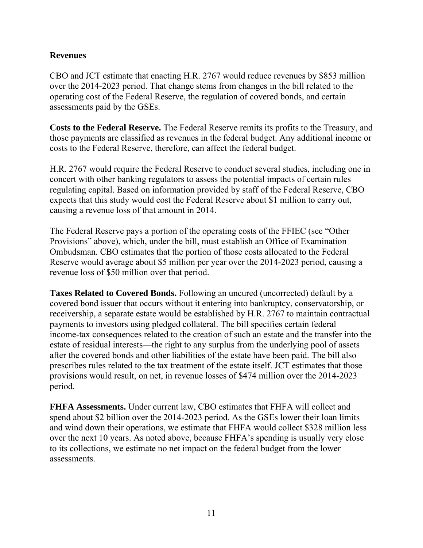#### **Revenues**

CBO and JCT estimate that enacting H.R. 2767 would reduce revenues by \$853 million over the 2014-2023 period. That change stems from changes in the bill related to the operating cost of the Federal Reserve, the regulation of covered bonds, and certain assessments paid by the GSEs.

**Costs to the Federal Reserve.** The Federal Reserve remits its profits to the Treasury, and those payments are classified as revenues in the federal budget. Any additional income or costs to the Federal Reserve, therefore, can affect the federal budget.

H.R. 2767 would require the Federal Reserve to conduct several studies, including one in concert with other banking regulators to assess the potential impacts of certain rules regulating capital. Based on information provided by staff of the Federal Reserve, CBO expects that this study would cost the Federal Reserve about \$1 million to carry out, causing a revenue loss of that amount in 2014.

The Federal Reserve pays a portion of the operating costs of the FFIEC (see "Other Provisions" above), which, under the bill, must establish an Office of Examination Ombudsman. CBO estimates that the portion of those costs allocated to the Federal Reserve would average about \$5 million per year over the 2014-2023 period, causing a revenue loss of \$50 million over that period.

**Taxes Related to Covered Bonds.** Following an uncured (uncorrected) default by a covered bond issuer that occurs without it entering into bankruptcy, conservatorship, or receivership, a separate estate would be established by H.R. 2767 to maintain contractual payments to investors using pledged collateral. The bill specifies certain federal income-tax consequences related to the creation of such an estate and the transfer into the estate of residual interests—the right to any surplus from the underlying pool of assets after the covered bonds and other liabilities of the estate have been paid. The bill also prescribes rules related to the tax treatment of the estate itself. JCT estimates that those provisions would result, on net, in revenue losses of \$474 million over the 2014-2023 period.

**FHFA Assessments.** Under current law, CBO estimates that FHFA will collect and spend about \$2 billion over the 2014-2023 period. As the GSEs lower their loan limits and wind down their operations, we estimate that FHFA would collect \$328 million less over the next 10 years. As noted above, because FHFA's spending is usually very close to its collections, we estimate no net impact on the federal budget from the lower assessments.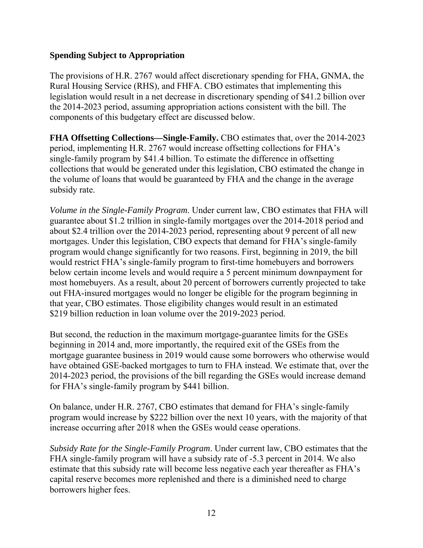#### **Spending Subject to Appropriation**

The provisions of H.R. 2767 would affect discretionary spending for FHA, GNMA, the Rural Housing Service (RHS), and FHFA. CBO estimates that implementing this legislation would result in a net decrease in discretionary spending of \$41.2 billion over the 2014-2023 period, assuming appropriation actions consistent with the bill. The components of this budgetary effect are discussed below.

**FHA Offsetting Collections—Single-Family.** CBO estimates that, over the 2014-2023 period, implementing H.R. 2767 would increase offsetting collections for FHA's single-family program by \$41.4 billion. To estimate the difference in offsetting collections that would be generated under this legislation, CBO estimated the change in the volume of loans that would be guaranteed by FHA and the change in the average subsidy rate.

*Volume in the Single-Family Program*. Under current law, CBO estimates that FHA will guarantee about \$1.2 trillion in single-family mortgages over the 2014-2018 period and about \$2.4 trillion over the 2014-2023 period, representing about 9 percent of all new mortgages. Under this legislation, CBO expects that demand for FHA's single-family program would change significantly for two reasons. First, beginning in 2019, the bill would restrict FHA's single-family program to first-time homebuyers and borrowers below certain income levels and would require a 5 percent minimum downpayment for most homebuyers. As a result, about 20 percent of borrowers currently projected to take out FHA-insured mortgages would no longer be eligible for the program beginning in that year, CBO estimates. Those eligibility changes would result in an estimated \$219 billion reduction in loan volume over the 2019-2023 period.

But second, the reduction in the maximum mortgage-guarantee limits for the GSEs beginning in 2014 and, more importantly, the required exit of the GSEs from the mortgage guarantee business in 2019 would cause some borrowers who otherwise would have obtained GSE-backed mortgages to turn to FHA instead. We estimate that, over the 2014-2023 period, the provisions of the bill regarding the GSEs would increase demand for FHA's single-family program by \$441 billion.

On balance, under H.R. 2767, CBO estimates that demand for FHA's single-family program would increase by \$222 billion over the next 10 years, with the majority of that increase occurring after 2018 when the GSEs would cease operations.

*Subsidy Rate for the Single-Family Program*. Under current law, CBO estimates that the FHA single-family program will have a subsidy rate of -5.3 percent in 2014. We also estimate that this subsidy rate will become less negative each year thereafter as FHA's capital reserve becomes more replenished and there is a diminished need to charge borrowers higher fees.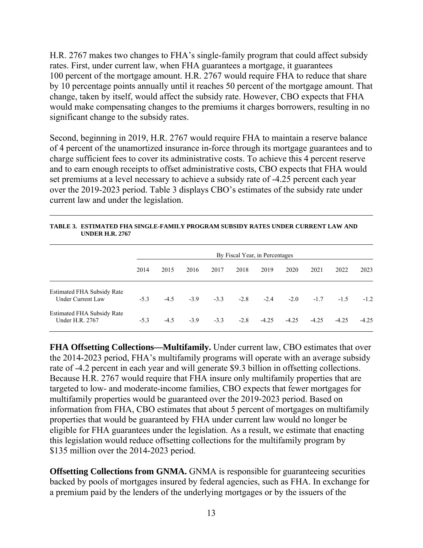H.R. 2767 makes two changes to FHA's single-family program that could affect subsidy rates. First, under current law, when FHA guarantees a mortgage, it guarantees 100 percent of the mortgage amount. H.R. 2767 would require FHA to reduce that share by 10 percentage points annually until it reaches 50 percent of the mortgage amount. That change, taken by itself, would affect the subsidy rate. However, CBO expects that FHA would make compensating changes to the premiums it charges borrowers, resulting in no significant change to the subsidy rates.

Second, beginning in 2019, H.R. 2767 would require FHA to maintain a reserve balance of 4 percent of the unamortized insurance in-force through its mortgage guarantees and to charge sufficient fees to cover its administrative costs. To achieve this 4 percent reserve and to earn enough receipts to offset administrative costs, CBO expects that FHA would set premiums at a level necessary to achieve a subsidy rate of -4.25 percent each year over the 2019-2023 period. Table 3 displays CBO's estimates of the subsidy rate under current law and under the legislation.

|                                                               | By Fiscal Year, in Percentages |        |        |        |        |         |         |         |         |         |
|---------------------------------------------------------------|--------------------------------|--------|--------|--------|--------|---------|---------|---------|---------|---------|
|                                                               | 2014                           | 2015   | 2016   | 2017   | 2018   | 2019    | 2020    | 2021    | 2022    | 2023    |
| <b>Estimated FHA Subsidy Rate</b><br><b>Under Current Law</b> | $-5.3$                         | $-4.5$ | $-3.9$ | $-3.3$ | $-2.8$ | $-2.4$  | $-2.0$  | $-1.7$  | $-1.5$  | $-1.2$  |
| <b>Estimated FHA Subsidy Rate</b><br>Under H.R. 2767          | $-5.3$                         | $-4.5$ | $-3.9$ | $-3.3$ | $-2.8$ | $-4.25$ | $-4.25$ | $-4.25$ | $-4.25$ | $-4.25$ |

**TABLE 3. ESTIMATED FHA SINGLE-FAMILY PROGRAM SUBSIDY RATES UNDER CURRENT LAW AND UNDER H.R. 2767** 

**FHA Offsetting Collections—Multifamily.** Under current law, CBO estimates that over the 2014-2023 period, FHA's multifamily programs will operate with an average subsidy rate of -4.2 percent in each year and will generate \$9.3 billion in offsetting collections. Because H.R. 2767 would require that FHA insure only multifamily properties that are targeted to low- and moderate-income families, CBO expects that fewer mortgages for multifamily properties would be guaranteed over the 2019-2023 period. Based on information from FHA, CBO estimates that about 5 percent of mortgages on multifamily properties that would be guaranteed by FHA under current law would no longer be eligible for FHA guarantees under the legislation. As a result, we estimate that enacting this legislation would reduce offsetting collections for the multifamily program by \$135 million over the 2014-2023 period.

**Offsetting Collections from GNMA.** GNMA is responsible for guaranteeing securities backed by pools of mortgages insured by federal agencies, such as FHA. In exchange for a premium paid by the lenders of the underlying mortgages or by the issuers of the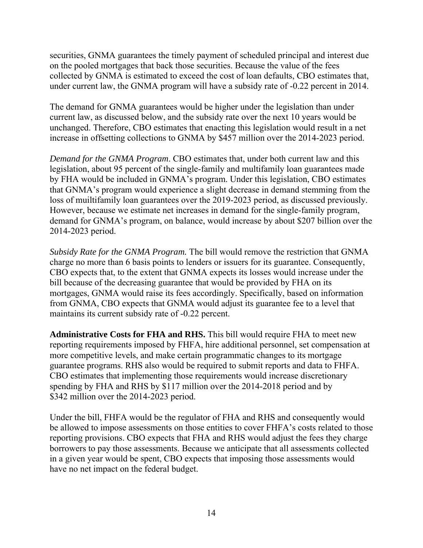securities, GNMA guarantees the timely payment of scheduled principal and interest due on the pooled mortgages that back those securities. Because the value of the fees collected by GNMA is estimated to exceed the cost of loan defaults, CBO estimates that, under current law, the GNMA program will have a subsidy rate of -0.22 percent in 2014.

The demand for GNMA guarantees would be higher under the legislation than under current law, as discussed below, and the subsidy rate over the next 10 years would be unchanged. Therefore, CBO estimates that enacting this legislation would result in a net increase in offsetting collections to GNMA by \$457 million over the 2014-2023 period.

*Demand for the GNMA Program*. CBO estimates that, under both current law and this legislation, about 95 percent of the single-family and multifamily loan guarantees made by FHA would be included in GNMA's program. Under this legislation, CBO estimates that GNMA's program would experience a slight decrease in demand stemming from the loss of muiltifamily loan guarantees over the 2019-2023 period, as discussed previously. However, because we estimate net increases in demand for the single-family program, demand for GNMA's program, on balance, would increase by about \$207 billion over the 2014-2023 period.

*Subsidy Rate for the GNMA Program.* The bill would remove the restriction that GNMA charge no more than 6 basis points to lenders or issuers for its guarantee. Consequently, CBO expects that, to the extent that GNMA expects its losses would increase under the bill because of the decreasing guarantee that would be provided by FHA on its mortgages, GNMA would raise its fees accordingly. Specifically, based on information from GNMA, CBO expects that GNMA would adjust its guarantee fee to a level that maintains its current subsidy rate of -0.22 percent.

**Administrative Costs for FHA and RHS.** This bill would require FHA to meet new reporting requirements imposed by FHFA, hire additional personnel, set compensation at more competitive levels, and make certain programmatic changes to its mortgage guarantee programs. RHS also would be required to submit reports and data to FHFA. CBO estimates that implementing those requirements would increase discretionary spending by FHA and RHS by \$117 million over the 2014-2018 period and by \$342 million over the 2014-2023 period.

Under the bill, FHFA would be the regulator of FHA and RHS and consequently would be allowed to impose assessments on those entities to cover FHFA's costs related to those reporting provisions. CBO expects that FHA and RHS would adjust the fees they charge borrowers to pay those assessments. Because we anticipate that all assessments collected in a given year would be spent, CBO expects that imposing those assessments would have no net impact on the federal budget.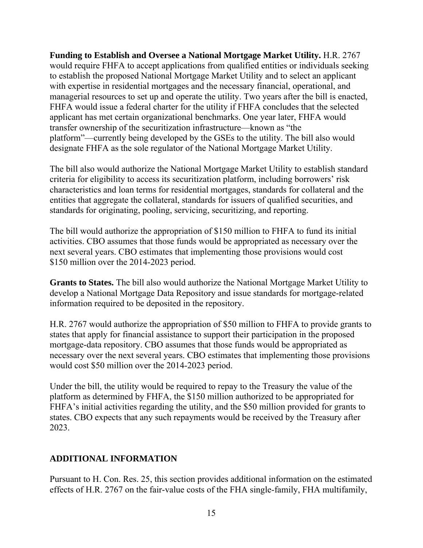**Funding to Establish and Oversee a National Mortgage Market Utility.** H.R. 2767 would require FHFA to accept applications from qualified entities or individuals seeking to establish the proposed National Mortgage Market Utility and to select an applicant with expertise in residential mortgages and the necessary financial, operational, and managerial resources to set up and operate the utility. Two years after the bill is enacted, FHFA would issue a federal charter for the utility if FHFA concludes that the selected applicant has met certain organizational benchmarks. One year later, FHFA would transfer ownership of the securitization infrastructure—known as "the platform"—currently being developed by the GSEs to the utility. The bill also would designate FHFA as the sole regulator of the National Mortgage Market Utility.

The bill also would authorize the National Mortgage Market Utility to establish standard criteria for eligibility to access its securitization platform, including borrowers' risk characteristics and loan terms for residential mortgages, standards for collateral and the entities that aggregate the collateral, standards for issuers of qualified securities, and standards for originating, pooling, servicing, securitizing, and reporting.

The bill would authorize the appropriation of \$150 million to FHFA to fund its initial activities. CBO assumes that those funds would be appropriated as necessary over the next several years. CBO estimates that implementing those provisions would cost \$150 million over the 2014-2023 period.

**Grants to States.** The bill also would authorize the National Mortgage Market Utility to develop a National Mortgage Data Repository and issue standards for mortgage-related information required to be deposited in the repository.

H.R. 2767 would authorize the appropriation of \$50 million to FHFA to provide grants to states that apply for financial assistance to support their participation in the proposed mortgage-data repository. CBO assumes that those funds would be appropriated as necessary over the next several years. CBO estimates that implementing those provisions would cost \$50 million over the 2014-2023 period.

Under the bill, the utility would be required to repay to the Treasury the value of the platform as determined by FHFA, the \$150 million authorized to be appropriated for FHFA's initial activities regarding the utility, and the \$50 million provided for grants to states. CBO expects that any such repayments would be received by the Treasury after 2023.

### **ADDITIONAL INFORMATION**

Pursuant to H. Con. Res. 25, this section provides additional information on the estimated effects of H.R. 2767 on the fair-value costs of the FHA single-family, FHA multifamily,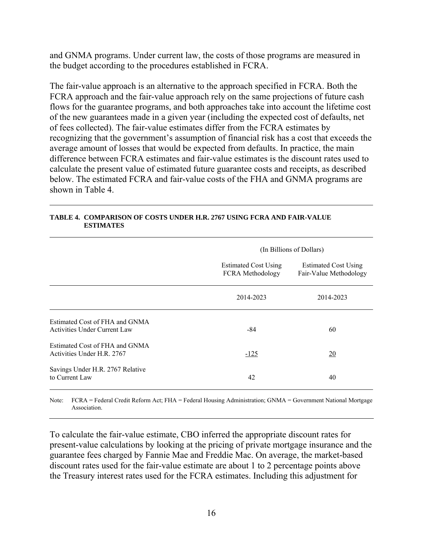and GNMA programs. Under current law, the costs of those programs are measured in the budget according to the procedures established in FCRA.

The fair-value approach is an alternative to the approach specified in FCRA. Both the FCRA approach and the fair-value approach rely on the same projections of future cash flows for the guarantee programs, and both approaches take into account the lifetime cost of the new guarantees made in a given year (including the expected cost of defaults, net of fees collected). The fair-value estimates differ from the FCRA estimates by recognizing that the government's assumption of financial risk has a cost that exceeds the average amount of losses that would be expected from defaults. In practice, the main difference between FCRA estimates and fair-value estimates is the discount rates used to calculate the present value of estimated future guarantee costs and receipts, as described below. The estimated FCRA and fair-value costs of the FHA and GNMA programs are shown in Table 4.

|                                                                | (In Billions of Dollars)                        |                                                       |  |  |  |  |
|----------------------------------------------------------------|-------------------------------------------------|-------------------------------------------------------|--|--|--|--|
|                                                                | <b>Estimated Cost Using</b><br>FCRA Methodology | <b>Estimated Cost Using</b><br>Fair-Value Methodology |  |  |  |  |
|                                                                | 2014-2023                                       | 2014-2023                                             |  |  |  |  |
| Estimated Cost of FHA and GNMA<br>Activities Under Current Law | $-84$                                           | 60                                                    |  |  |  |  |
| Estimated Cost of FHA and GNMA<br>Activities Under H.R. 2767   | $-125$                                          | 20                                                    |  |  |  |  |
| Savings Under H.R. 2767 Relative<br>to Current Law             | 42                                              | 40                                                    |  |  |  |  |

#### **TABLE 4. COMPARISON OF COSTS UNDER H.R. 2767 USING FCRA AND FAIR-VALUE ESTIMATES**

Note: FCRA = Federal Credit Reform Act; FHA = Federal Housing Administration; GNMA = Government National Mortgage Association.

To calculate the fair-value estimate, CBO inferred the appropriate discount rates for present-value calculations by looking at the pricing of private mortgage insurance and the guarantee fees charged by Fannie Mae and Freddie Mac. On average, the market-based discount rates used for the fair-value estimate are about 1 to 2 percentage points above the Treasury interest rates used for the FCRA estimates. Including this adjustment for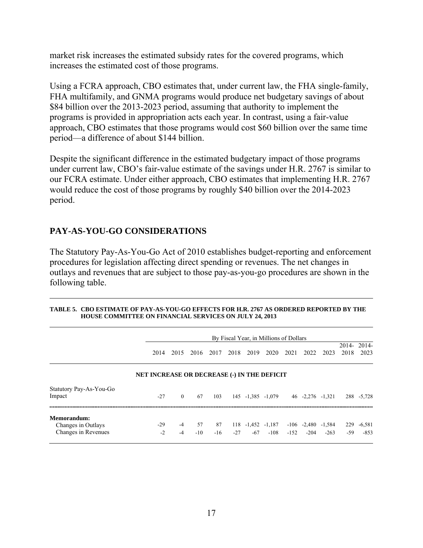market risk increases the estimated subsidy rates for the covered programs, which increases the estimated cost of those programs.

Using a FCRA approach, CBO estimates that, under current law, the FHA single-family, FHA multifamily, and GNMA programs would produce net budgetary savings of about \$84 billion over the 2013-2023 period, assuming that authority to implement the programs is provided in appropriation acts each year. In contrast, using a fair-value approach, CBO estimates that those programs would cost \$60 billion over the same time period—a difference of about \$144 billion.

Despite the significant difference in the estimated budgetary impact of those programs under current law, CBO's fair-value estimate of the savings under H.R. 2767 is similar to our FCRA estimate. Under either approach, CBO estimates that implementing H.R. 2767 would reduce the cost of those programs by roughly \$40 billion over the 2014-2023 period.

### **PAY-AS-YOU-GO CONSIDERATIONS**

The Statutory Pay-As-You-Go Act of 2010 establishes budget-reporting and enforcement procedures for legislation affecting direct spending or revenues. The net changes in outlays and revenues that are subject to those pay-as-you-go procedures are shown in the following table.

|                                                          |                                                    |              |                 |             |       |       | By Fiscal Year, in Millions of Dollars |        |                                    |        |              |                    |
|----------------------------------------------------------|----------------------------------------------------|--------------|-----------------|-------------|-------|-------|----------------------------------------|--------|------------------------------------|--------|--------------|--------------------|
|                                                          | 2014                                               | 2015         | 2016            | 2017        | 2018  | 2019  | 2020                                   | 2021   | 2022                               | 2023   | 2018         | 2014-2014-<br>2023 |
|                                                          | <b>NET INCREASE OR DECREASE (-) IN THE DEFICIT</b> |              |                 |             |       |       |                                        |        |                                    |        |              |                    |
| Statutory Pay-As-You-Go<br>Impact                        | $-27$                                              | $\theta$     | 67              | 103         |       |       | 145 -1,385 -1,079                      |        | $46 - 2,276 - 1,321$               |        |              | 288 - 5.728        |
| Memorandum:<br>Changes in Outlays<br>Changes in Revenues | $-29$<br>$-2$                                      | $-4$<br>$-4$ | 57<br>$-10^{-}$ | 87<br>$-16$ | $-27$ | $-67$ | 118 -1,452 -1,187<br>$-108$            | $-152$ | $-106$ $-2,480$ $-1,584$<br>$-204$ | $-263$ | 229<br>$-59$ | $-6,581$<br>$-853$ |

| TABLE 5.   CBO ESTIMATE OF PAY-AS-YOU-GO EFFECTS FOR H.R. 2767 AS ORDERED REPORTED BY THE |
|-------------------------------------------------------------------------------------------|
| <b>HOUSE COMMITTEE ON FINANCIAL SERVICES ON JULY 24, 2013</b>                             |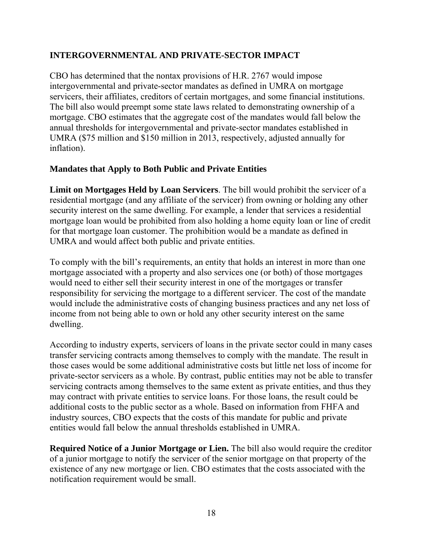### **INTERGOVERNMENTAL AND PRIVATE-SECTOR IMPACT**

CBO has determined that the nontax provisions of H.R. 2767 would impose intergovernmental and private-sector mandates as defined in UMRA on mortgage servicers, their affiliates, creditors of certain mortgages, and some financial institutions. The bill also would preempt some state laws related to demonstrating ownership of a mortgage. CBO estimates that the aggregate cost of the mandates would fall below the annual thresholds for intergovernmental and private-sector mandates established in UMRA (\$75 million and \$150 million in 2013, respectively, adjusted annually for inflation).

#### **Mandates that Apply to Both Public and Private Entities**

**Limit on Mortgages Held by Loan Servicers**. The bill would prohibit the servicer of a residential mortgage (and any affiliate of the servicer) from owning or holding any other security interest on the same dwelling. For example, a lender that services a residential mortgage loan would be prohibited from also holding a home equity loan or line of credit for that mortgage loan customer. The prohibition would be a mandate as defined in UMRA and would affect both public and private entities.

To comply with the bill's requirements, an entity that holds an interest in more than one mortgage associated with a property and also services one (or both) of those mortgages would need to either sell their security interest in one of the mortgages or transfer responsibility for servicing the mortgage to a different servicer. The cost of the mandate would include the administrative costs of changing business practices and any net loss of income from not being able to own or hold any other security interest on the same dwelling.

According to industry experts, servicers of loans in the private sector could in many cases transfer servicing contracts among themselves to comply with the mandate. The result in those cases would be some additional administrative costs but little net loss of income for private-sector servicers as a whole. By contrast, public entities may not be able to transfer servicing contracts among themselves to the same extent as private entities, and thus they may contract with private entities to service loans. For those loans, the result could be additional costs to the public sector as a whole. Based on information from FHFA and industry sources, CBO expects that the costs of this mandate for public and private entities would fall below the annual thresholds established in UMRA.

**Required Notice of a Junior Mortgage or Lien.** The bill also would require the creditor of a junior mortgage to notify the servicer of the senior mortgage on that property of the existence of any new mortgage or lien. CBO estimates that the costs associated with the notification requirement would be small.